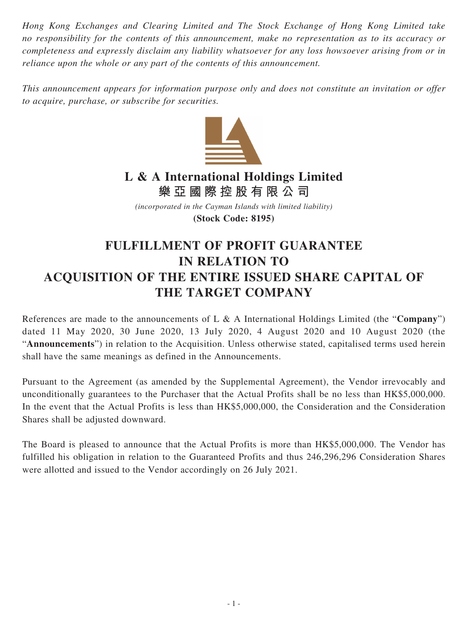*Hong Kong Exchanges and Clearing Limited and The Stock Exchange of Hong Kong Limited take no responsibility for the contents of this announcement, make no representation as to its accuracy or completeness and expressly disclaim any liability whatsoever for any loss howsoever arising from or in reliance upon the whole or any part of the contents of this announcement.*

*This announcement appears for information purpose only and does not constitute an invitation or offer to acquire, purchase, or subscribe for securities.*



## **L & A International Holdings Limited 樂亞國際控股有限公司**

*(incorporated in the Cayman Islands with limited liability)* **(Stock Code: 8195)**

## **FULFILLMENT OF PROFIT GUARANTEE IN RELATION TO ACQUISITION OF THE ENTIRE ISSUED SHARE CAPITAL OF THE TARGET COMPANY**

References are made to the announcements of L & A International Holdings Limited (the "**Company**") dated 11 May 2020, 30 June 2020, 13 July 2020, 4 August 2020 and 10 August 2020 (the "**Announcements**") in relation to the Acquisition. Unless otherwise stated, capitalised terms used herein shall have the same meanings as defined in the Announcements.

Pursuant to the Agreement (as amended by the Supplemental Agreement), the Vendor irrevocably and unconditionally guarantees to the Purchaser that the Actual Profits shall be no less than HK\$5,000,000. In the event that the Actual Profits is less than HK\$5,000,000, the Consideration and the Consideration Shares shall be adjusted downward.

The Board is pleased to announce that the Actual Profits is more than HK\$5,000,000. The Vendor has fulfilled his obligation in relation to the Guaranteed Profits and thus 246,296,296 Consideration Shares were allotted and issued to the Vendor accordingly on 26 July 2021.